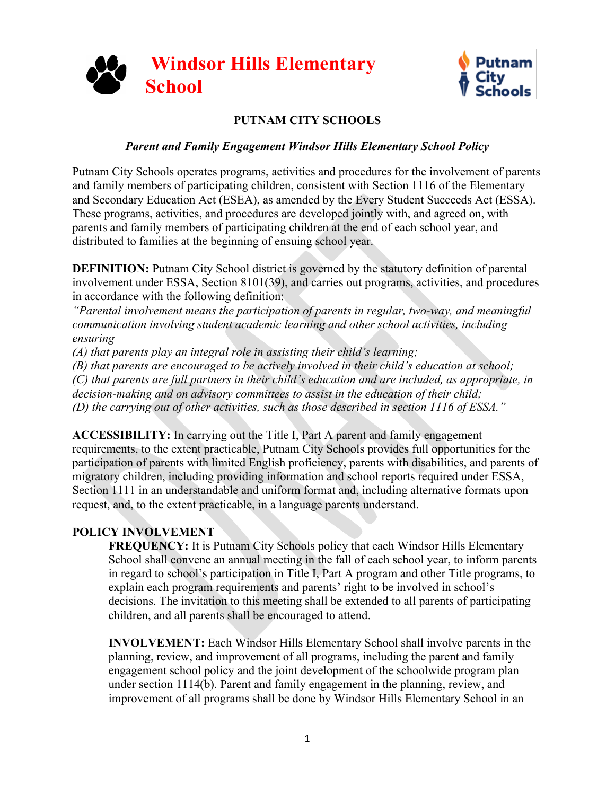



## **PUTNAM CITY SCHOOLS**

### *Parent and Family Engagement Windsor Hills Elementary School Policy*

Putnam City Schools operates programs, activities and procedures for the involvement of parents and family members of participating children, consistent with Section 1116 of the Elementary and Secondary Education Act (ESEA), as amended by the Every Student Succeeds Act (ESSA). These programs, activities, and procedures are developed jointly with, and agreed on, with parents and family members of participating children at the end of each school year, and distributed to families at the beginning of ensuing school year.

**DEFINITION:** Putnam City School district is governed by the statutory definition of parental involvement under ESSA, Section 8101(39), and carries out programs, activities, and procedures in accordance with the following definition:

*"Parental involvement means the participation of parents in regular, two-way, and meaningful communication involving student academic learning and other school activities, including ensuring—*

*(A) that parents play an integral role in assisting their child's learning;* 

*(B) that parents are encouraged to be actively involved in their child's education at school; (C) that parents are full partners in their child's education and are included, as appropriate, in decision-making and on advisory committees to assist in the education of their child; (D) the carrying out of other activities, such as those described in section 1116 of ESSA."*

**ACCESSIBILITY:** In carrying out the Title I, Part A parent and family engagement requirements, to the extent practicable, Putnam City Schools provides full opportunities for the participation of parents with limited English proficiency, parents with disabilities, and parents of migratory children, including providing information and school reports required under ESSA, Section 1111 in an understandable and uniform format and, including alternative formats upon request, and, to the extent practicable, in a language parents understand.

### **POLICY INVOLVEMENT**

**FREQUENCY:** It is Putnam City Schools policy that each Windsor Hills Elementary School shall convene an annual meeting in the fall of each school year, to inform parents in regard to school's participation in Title I, Part A program and other Title programs, to explain each program requirements and parents' right to be involved in school's decisions. The invitation to this meeting shall be extended to all parents of participating children, and all parents shall be encouraged to attend.

**INVOLVEMENT:** Each Windsor Hills Elementary School shall involve parents in the planning, review, and improvement of all programs, including the parent and family engagement school policy and the joint development of the schoolwide program plan under section 1114(b). Parent and family engagement in the planning, review, and improvement of all programs shall be done by Windsor Hills Elementary School in an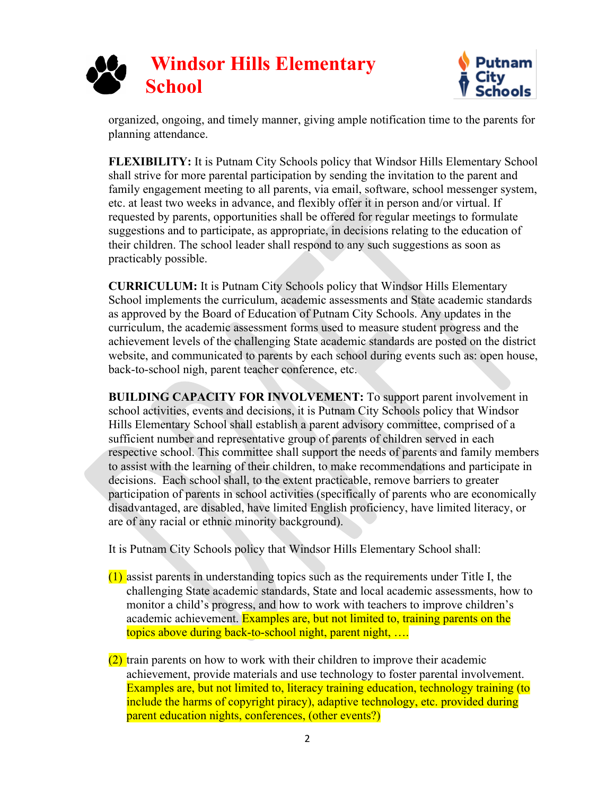



organized, ongoing, and timely manner, giving ample notification time to the parents for planning attendance.

**FLEXIBILITY:** It is Putnam City Schools policy that Windsor Hills Elementary School shall strive for more parental participation by sending the invitation to the parent and family engagement meeting to all parents, via email, software, school messenger system, etc. at least two weeks in advance, and flexibly offer it in person and/or virtual. If requested by parents, opportunities shall be offered for regular meetings to formulate suggestions and to participate, as appropriate, in decisions relating to the education of their children. The school leader shall respond to any such suggestions as soon as practicably possible.

**CURRICULUM:** It is Putnam City Schools policy that Windsor Hills Elementary School implements the curriculum, academic assessments and State academic standards as approved by the Board of Education of Putnam City Schools. Any updates in the curriculum, the academic assessment forms used to measure student progress and the achievement levels of the challenging State academic standards are posted on the district website, and communicated to parents by each school during events such as: open house, back-to-school nigh, parent teacher conference, etc.

**BUILDING CAPACITY FOR INVOLVEMENT:** To support parent involvement in school activities, events and decisions, it is Putnam City Schools policy that Windsor Hills Elementary School shall establish a parent advisory committee, comprised of a sufficient number and representative group of parents of children served in each respective school. This committee shall support the needs of parents and family members to assist with the learning of their children, to make recommendations and participate in decisions. Each school shall, to the extent practicable, remove barriers to greater participation of parents in school activities (specifically of parents who are economically disadvantaged, are disabled, have limited English proficiency, have limited literacy, or are of any racial or ethnic minority background).

It is Putnam City Schools policy that Windsor Hills Elementary School shall:

- (1) assist parents in understanding topics such as the requirements under Title I, the challenging State academic standards, State and local academic assessments, how to monitor a child's progress, and how to work with teachers to improve children's academic achievement. Examples are, but not limited to, training parents on the topics above during back-to-school night, parent night, ….
- (2) train parents on how to work with their children to improve their academic achievement, provide materials and use technology to foster parental involvement. Examples are, but not limited to, literacy training education, technology training (to include the harms of copyright piracy), adaptive technology, etc. provided during parent education nights, conferences, (other events?)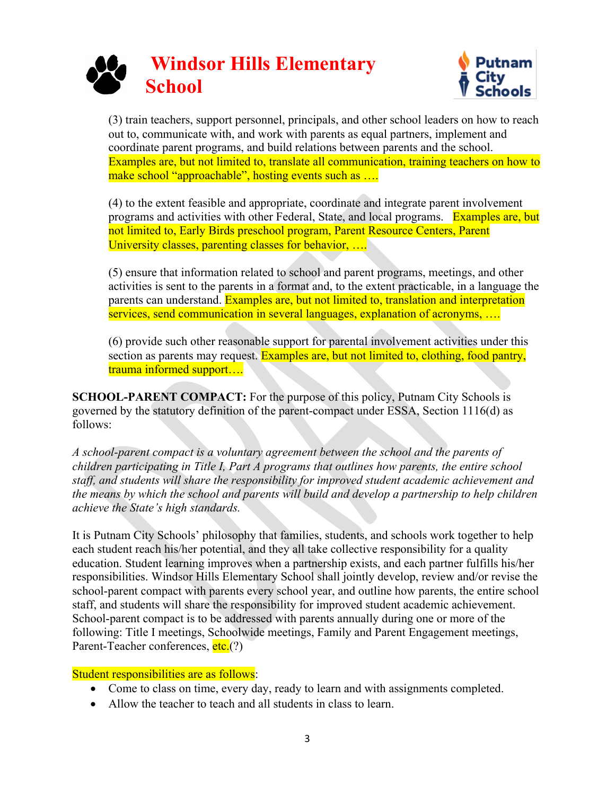



(3) train teachers, support personnel, principals, and other school leaders on how to reach out to, communicate with, and work with parents as equal partners, implement and coordinate parent programs, and build relations between parents and the school. Examples are, but not limited to, translate all communication, training teachers on how to make school "approachable", hosting events such as ....

(4) to the extent feasible and appropriate, coordinate and integrate parent involvement programs and activities with other Federal, State, and local programs. Examples are, but not limited to, Early Birds preschool program, Parent Resource Centers, Parent University classes, parenting classes for behavior, ….

(5) ensure that information related to school and parent programs, meetings, and other activities is sent to the parents in a format and, to the extent practicable, in a language the parents can understand. Examples are, but not limited to, translation and interpretation services, send communication in several languages, explanation of acronyms, ….

(6) provide such other reasonable support for parental involvement activities under this section as parents may request. Examples are, but not limited to, clothing, food pantry, trauma informed support….

**SCHOOL-PARENT COMPACT:** For the purpose of this policy, Putnam City Schools is governed by the statutory definition of the parent-compact under ESSA, Section 1116(d) as follows:

*A school-parent compact is a voluntary agreement between the school and the parents of children participating in Title I, Part A programs that outlines how parents, the entire school staff, and students will share the responsibility for improved student academic achievement and the means by which the school and parents will build and develop a partnership to help children achieve the State's high standards.*

It is Putnam City Schools' philosophy that families, students, and schools work together to help each student reach his/her potential, and they all take collective responsibility for a quality education. Student learning improves when a partnership exists, and each partner fulfills his/her responsibilities. Windsor Hills Elementary School shall jointly develop, review and/or revise the school-parent compact with parents every school year, and outline how parents, the entire school staff, and students will share the responsibility for improved student academic achievement. School-parent compact is to be addressed with parents annually during one or more of the following: Title I meetings, Schoolwide meetings, Family and Parent Engagement meetings, Parent-Teacher conferences, etc.<sup>(?)</sup>

Student responsibilities are as follows:

- Come to class on time, every day, ready to learn and with assignments completed.
- Allow the teacher to teach and all students in class to learn.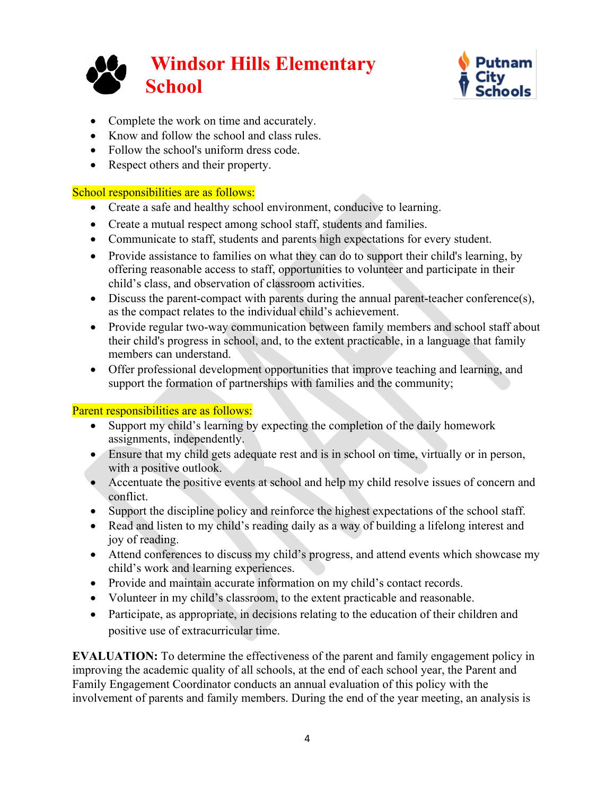



- Complete the work on time and accurately.
- Know and follow the school and class rules.
- Follow the school's uniform dress code.
- Respect others and their property.

### School responsibilities are as follows:

- Create a safe and healthy school environment, conducive to learning.
- Create a mutual respect among school staff, students and families.
- Communicate to staff, students and parents high expectations for every student.
- Provide assistance to families on what they can do to support their child's learning, by offering reasonable access to staff, opportunities to volunteer and participate in their child's class, and observation of classroom activities.
- Discuss the parent-compact with parents during the annual parent-teacher conference(s), as the compact relates to the individual child's achievement.
- Provide regular two-way communication between family members and school staff about their child's progress in school, and, to the extent practicable, in a language that family members can understand.
- Offer professional development opportunities that improve teaching and learning, and support the formation of partnerships with families and the community;

# Parent responsibilities are as follows:

- Support my child's learning by expecting the completion of the daily homework assignments, independently.
- Ensure that my child gets adequate rest and is in school on time, virtually or in person, with a positive outlook.
- Accentuate the positive events at school and help my child resolve issues of concern and conflict.
- Support the discipline policy and reinforce the highest expectations of the school staff.
- Read and listen to my child's reading daily as a way of building a lifelong interest and joy of reading.
- Attend conferences to discuss my child's progress, and attend events which showcase my child's work and learning experiences.
- Provide and maintain accurate information on my child's contact records.
- Volunteer in my child's classroom, to the extent practicable and reasonable.
- Participate, as appropriate, in decisions relating to the education of their children and positive use of extracurricular time.

**EVALUATION:** To determine the effectiveness of the parent and family engagement policy in improving the academic quality of all schools, at the end of each school year, the Parent and Family Engagement Coordinator conducts an annual evaluation of this policy with the involvement of parents and family members. During the end of the year meeting, an analysis is